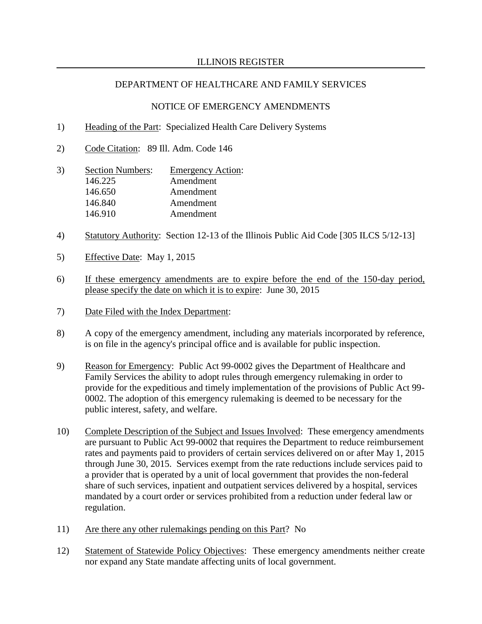### NOTICE OF EMERGENCY AMENDMENTS

- 1) Heading of the Part: Specialized Health Care Delivery Systems
- 2) Code Citation: 89 Ill. Adm. Code 146
- 3) Section Numbers: Emergency Action: 146.225 Amendment 146.650 Amendment 146.840 Amendment 146.910 Amendment
- 4) Statutory Authority: Section 12-13 of the Illinois Public Aid Code [305 ILCS 5/12-13]
- 5) Effective Date: May 1, 2015
- 6) If these emergency amendments are to expire before the end of the 150-day period, please specify the date on which it is to expire: June 30, 2015
- 7) Date Filed with the Index Department:
- 8) A copy of the emergency amendment, including any materials incorporated by reference, is on file in the agency's principal office and is available for public inspection.
- 9) Reason for Emergency: Public Act 99-0002 gives the Department of Healthcare and Family Services the ability to adopt rules through emergency rulemaking in order to provide for the expeditious and timely implementation of the provisions of Public Act 99- 0002. The adoption of this emergency rulemaking is deemed to be necessary for the public interest, safety, and welfare.
- 10) Complete Description of the Subject and Issues Involved: These emergency amendments are pursuant to Public Act 99-0002 that requires the Department to reduce reimbursement rates and payments paid to providers of certain services delivered on or after May 1, 2015 through June 30, 2015. Services exempt from the rate reductions include services paid to a provider that is operated by a unit of local government that provides the non-federal share of such services, inpatient and outpatient services delivered by a hospital, services mandated by a court order or services prohibited from a reduction under federal law or regulation.
- 11) Are there any other rulemakings pending on this Part? No
- 12) Statement of Statewide Policy Objectives: These emergency amendments neither create nor expand any State mandate affecting units of local government.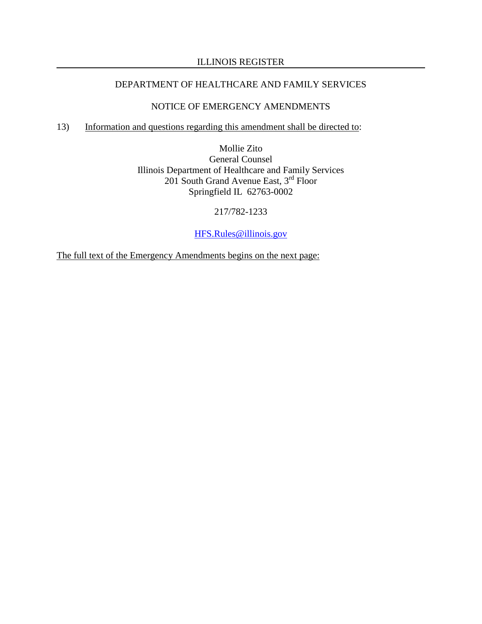### ILLINOIS REGISTER

## DEPARTMENT OF HEALTHCARE AND FAMILY SERVICES

## NOTICE OF EMERGENCY AMENDMENTS

# 13) Information and questions regarding this amendment shall be directed to:

Mollie Zito General Counsel Illinois Department of Healthcare and Family Services 201 South Grand Avenue East, 3<sup>rd</sup> Floor Springfield IL 62763-0002

217/782-1233

[HFS.Rules@illinois.gov](mailto:HFS.Rules@illinois.gov)

The full text of the Emergency Amendments begins on the next page: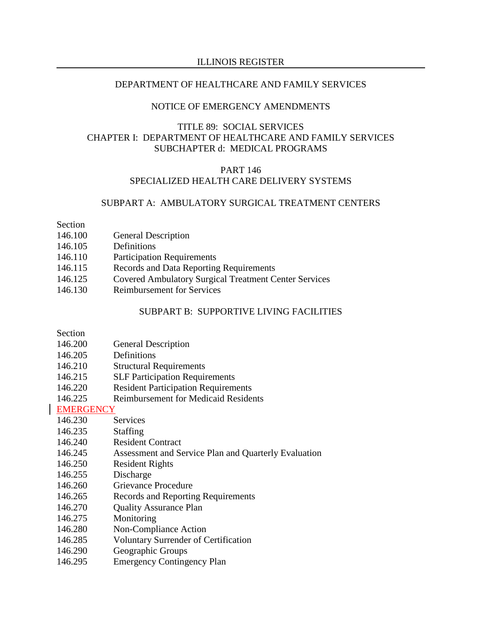### NOTICE OF EMERGENCY AMENDMENTS

## TITLE 89: SOCIAL SERVICES CHAPTER I: DEPARTMENT OF HEALTHCARE AND FAMILY SERVICES SUBCHAPTER d: MEDICAL PROGRAMS

#### PART 146 SPECIALIZED HEALTH CARE DELIVERY SYSTEMS

#### SUBPART A: AMBULATORY SURGICAL TREATMENT CENTERS

Section

- 146.100 General Description
- 146.105 Definitions
- 146.110 Participation Requirements
- 146.115 Records and Data Reporting Requirements
- 146.125 Covered Ambulatory Surgical Treatment Center Services
- 146.130 Reimbursement for Services

#### SUBPART B: SUPPORTIVE LIVING FACILITIES

Section

- 146.200 General Description
- 146.205 Definitions
- 146.210 Structural Requirements
- 146.215 SLF Participation Requirements
- 146.220 Resident Participation Requirements
- 146.225 Reimbursement for Medicaid Residents

## EMERGENCY

- 146.230 Services
- 146.235 Staffing
- 146.240 Resident Contract
- 146.245 Assessment and Service Plan and Quarterly Evaluation
- 146.250 Resident Rights
- 146.255 Discharge
- 146.260 Grievance Procedure
- 146.265 Records and Reporting Requirements
- 146.270 Quality Assurance Plan
- 146.275 Monitoring
- 146.280 Non-Compliance Action
- 146.285 Voluntary Surrender of Certification
- 146.290 Geographic Groups
- 146.295 Emergency Contingency Plan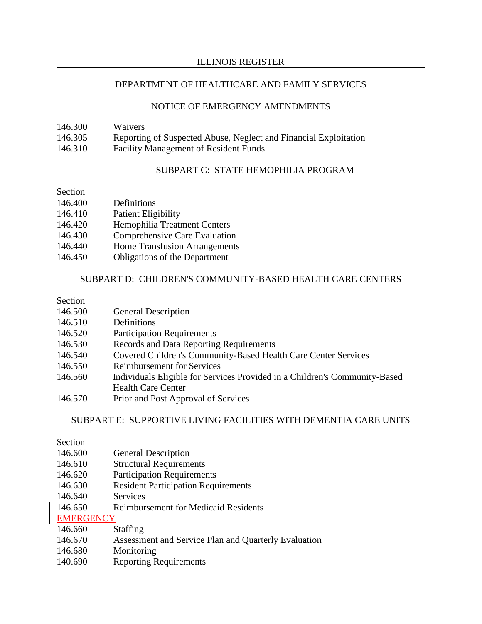### NOTICE OF EMERGENCY AMENDMENTS

| 146.300 | <b>Waivers</b>                                                   |
|---------|------------------------------------------------------------------|
| 146.305 | Reporting of Suspected Abuse, Neglect and Financial Exploitation |
| 146.310 | <b>Facility Management of Resident Funds</b>                     |

## SUBPART C: STATE HEMOPHILIA PROGRAM

## Section

| 146.400 | Definitions                          |
|---------|--------------------------------------|
| 146.410 | <b>Patient Eligibility</b>           |
| 146.420 | Hemophilia Treatment Centers         |
| 146.430 | Comprehensive Care Evaluation        |
| 146.440 | <b>Home Transfusion Arrangements</b> |
| 146.450 | <b>Obligations of the Department</b> |

## SUBPART D: CHILDREN'S COMMUNITY-BASED HEALTH CARE CENTERS

## Section

| 146.500 | <b>General Description</b> |
|---------|----------------------------|
|---------|----------------------------|

- 146.510 Definitions
- 146.520 Participation Requirements
- 146.530 Records and Data Reporting Requirements
- 146.540 Covered Children's Community-Based Health Care Center Services
- 146.550 Reimbursement for Services
- 146.560 Individuals Eligible for Services Provided in a Children's Community-Based Health Care Center
- 146.570 Prior and Post Approval of Services

### SUBPART E: SUPPORTIVE LIVING FACILITIES WITH DEMENTIA CARE UNITS

## Section

- 146.600 General Description
- 146.610 Structural Requirements
- 146.620 Participation Requirements
- 146.630 Resident Participation Requirements
- 146.640 Services
- 146.650 Reimbursement for Medicaid Residents

## EMERGENCY

- 146.660 Staffing
- 146.670 Assessment and Service Plan and Quarterly Evaluation
- 146.680 Monitoring
- 140.690 Reporting Requirements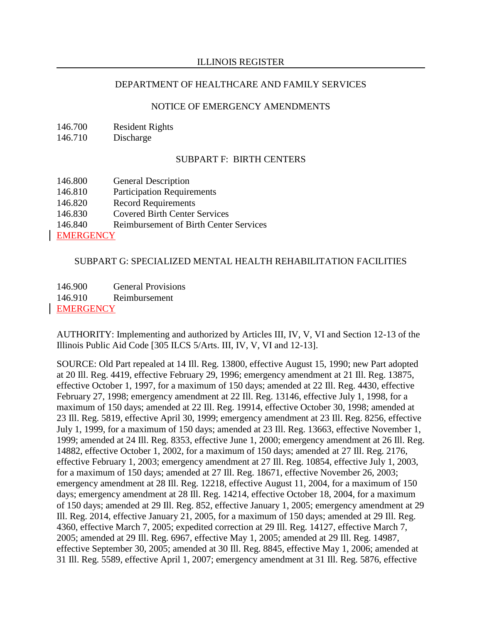### ILLINOIS REGISTER

#### DEPARTMENT OF HEALTHCARE AND FAMILY SERVICES

#### NOTICE OF EMERGENCY AMENDMENTS

146.700 Resident Rights

146.710 Discharge

#### SUBPART F: BIRTH CENTERS

| 146.800          | <b>General Description</b>                    |
|------------------|-----------------------------------------------|
| 146.810          | <b>Participation Requirements</b>             |
| 146.820          | <b>Record Requirements</b>                    |
| 146.830          | <b>Covered Birth Center Services</b>          |
| 146.840          | <b>Reimbursement of Birth Center Services</b> |
| <b>EMERGENCY</b> |                                               |

## SUBPART G: SPECIALIZED MENTAL HEALTH REHABILITATION FACILITIES

146.900 General Provisions 146.910 Reimbursement **EMERGENCY** 

AUTHORITY: Implementing and authorized by Articles III, IV, V, VI and Section 12-13 of the Illinois Public Aid Code [305 ILCS 5/Arts. III, IV, V, VI and 12-13].

SOURCE: Old Part repealed at 14 Ill. Reg. 13800, effective August 15, 1990; new Part adopted at 20 Ill. Reg. 4419, effective February 29, 1996; emergency amendment at 21 Ill. Reg. 13875, effective October 1, 1997, for a maximum of 150 days; amended at 22 Ill. Reg. 4430, effective February 27, 1998; emergency amendment at 22 Ill. Reg. 13146, effective July 1, 1998, for a maximum of 150 days; amended at 22 Ill. Reg. 19914, effective October 30, 1998; amended at 23 Ill. Reg. 5819, effective April 30, 1999; emergency amendment at 23 Ill. Reg. 8256, effective July 1, 1999, for a maximum of 150 days; amended at 23 Ill. Reg. 13663, effective November 1, 1999; amended at 24 Ill. Reg. 8353, effective June 1, 2000; emergency amendment at 26 Ill. Reg. 14882, effective October 1, 2002, for a maximum of 150 days; amended at 27 Ill. Reg. 2176, effective February 1, 2003; emergency amendment at 27 Ill. Reg. 10854, effective July 1, 2003, for a maximum of 150 days; amended at 27 Ill. Reg. 18671, effective November 26, 2003; emergency amendment at 28 Ill. Reg. 12218, effective August 11, 2004, for a maximum of 150 days; emergency amendment at 28 Ill. Reg. 14214, effective October 18, 2004, for a maximum of 150 days; amended at 29 Ill. Reg. 852, effective January 1, 2005; emergency amendment at 29 Ill. Reg. 2014, effective January 21, 2005, for a maximum of 150 days; amended at 29 Ill. Reg. 4360, effective March 7, 2005; expedited correction at 29 Ill. Reg. 14127, effective March 7, 2005; amended at 29 Ill. Reg. 6967, effective May 1, 2005; amended at 29 Ill. Reg. 14987, effective September 30, 2005; amended at 30 Ill. Reg. 8845, effective May 1, 2006; amended at 31 Ill. Reg. 5589, effective April 1, 2007; emergency amendment at 31 Ill. Reg. 5876, effective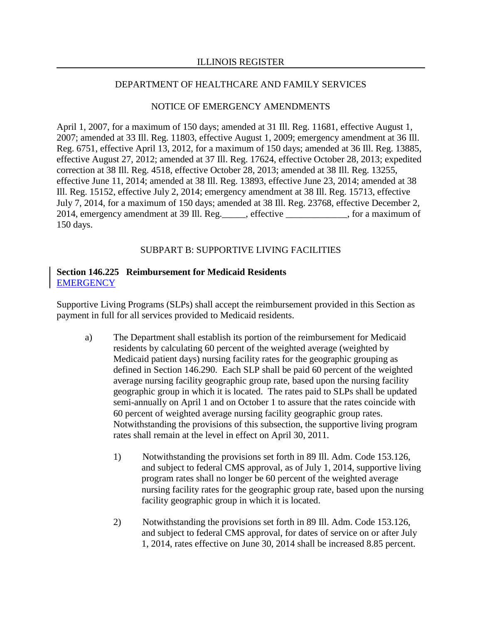### NOTICE OF EMERGENCY AMENDMENTS

April 1, 2007, for a maximum of 150 days; amended at 31 Ill. Reg. 11681, effective August 1, 2007; amended at 33 Ill. Reg. 11803, effective August 1, 2009; emergency amendment at 36 Ill. Reg. 6751, effective April 13, 2012, for a maximum of 150 days; amended at 36 Ill. Reg. 13885, effective August 27, 2012; amended at 37 Ill. Reg. 17624, effective October 28, 2013; expedited correction at 38 Ill. Reg. 4518, effective October 28, 2013; amended at 38 Ill. Reg. 13255, effective June 11, 2014; amended at 38 Ill. Reg. 13893, effective June 23, 2014; amended at 38 Ill. Reg. 15152, effective July 2, 2014; emergency amendment at 38 Ill. Reg. 15713, effective July 7, 2014, for a maximum of 150 days; amended at 38 Ill. Reg. 23768, effective December 2, 2014, emergency amendment at 39 Ill. Reg.\_\_\_\_\_, effective \_\_\_\_\_\_\_\_\_\_\_\_\_, for a maximum of 150 days.

## SUBPART B: SUPPORTIVE LIVING FACILITIES

### **Section 146.225 Reimbursement for Medicaid Residents EMERGENCY**

Supportive Living Programs (SLPs) shall accept the reimbursement provided in this Section as payment in full for all services provided to Medicaid residents.

- a) The Department shall establish its portion of the reimbursement for Medicaid residents by calculating 60 percent of the weighted average (weighted by Medicaid patient days) nursing facility rates for the geographic grouping as defined in Section 146.290. Each SLP shall be paid 60 percent of the weighted average nursing facility geographic group rate, based upon the nursing facility geographic group in which it is located. The rates paid to SLPs shall be updated semi-annually on April 1 and on October 1 to assure that the rates coincide with 60 percent of weighted average nursing facility geographic group rates. Notwithstanding the provisions of this subsection, the supportive living program rates shall remain at the level in effect on April 30, 2011.
	- 1) Notwithstanding the provisions set forth in 89 Ill. Adm. Code 153.126, and subject to federal CMS approval, as of July 1, 2014, supportive living program rates shall no longer be 60 percent of the weighted average nursing facility rates for the geographic group rate, based upon the nursing facility geographic group in which it is located.
	- 2) Notwithstanding the provisions set forth in 89 Ill. Adm. Code 153.126, and subject to federal CMS approval, for dates of service on or after July 1, 2014, rates effective on June 30, 2014 shall be increased 8.85 percent.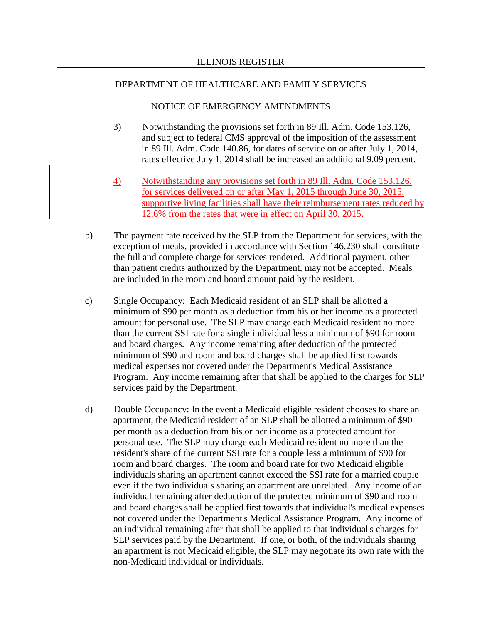#### NOTICE OF EMERGENCY AMENDMENTS

- 3) Notwithstanding the provisions set forth in 89 Ill. Adm. Code 153.126, and subject to federal CMS approval of the imposition of the assessment in 89 Ill. Adm. Code 140.86, for dates of service on or after July 1, 2014, rates effective July 1, 2014 shall be increased an additional 9.09 percent.
- 4) Notwithstanding any provisions set forth in 89 Ill. Adm. Code 153.126, for services delivered on or after May 1, 2015 through June 30, 2015, supportive living facilities shall have their reimbursement rates reduced by 12.6% from the rates that were in effect on April 30, 2015.
- b) The payment rate received by the SLP from the Department for services, with the exception of meals, provided in accordance with Section 146.230 shall constitute the full and complete charge for services rendered. Additional payment, other than patient credits authorized by the Department, may not be accepted. Meals are included in the room and board amount paid by the resident.
- c) Single Occupancy: Each Medicaid resident of an SLP shall be allotted a minimum of \$90 per month as a deduction from his or her income as a protected amount for personal use. The SLP may charge each Medicaid resident no more than the current SSI rate for a single individual less a minimum of \$90 for room and board charges. Any income remaining after deduction of the protected minimum of \$90 and room and board charges shall be applied first towards medical expenses not covered under the Department's Medical Assistance Program. Any income remaining after that shall be applied to the charges for SLP services paid by the Department.
- d) Double Occupancy: In the event a Medicaid eligible resident chooses to share an apartment, the Medicaid resident of an SLP shall be allotted a minimum of \$90 per month as a deduction from his or her income as a protected amount for personal use. The SLP may charge each Medicaid resident no more than the resident's share of the current SSI rate for a couple less a minimum of \$90 for room and board charges. The room and board rate for two Medicaid eligible individuals sharing an apartment cannot exceed the SSI rate for a married couple even if the two individuals sharing an apartment are unrelated. Any income of an individual remaining after deduction of the protected minimum of \$90 and room and board charges shall be applied first towards that individual's medical expenses not covered under the Department's Medical Assistance Program. Any income of an individual remaining after that shall be applied to that individual's charges for SLP services paid by the Department. If one, or both, of the individuals sharing an apartment is not Medicaid eligible, the SLP may negotiate its own rate with the non-Medicaid individual or individuals.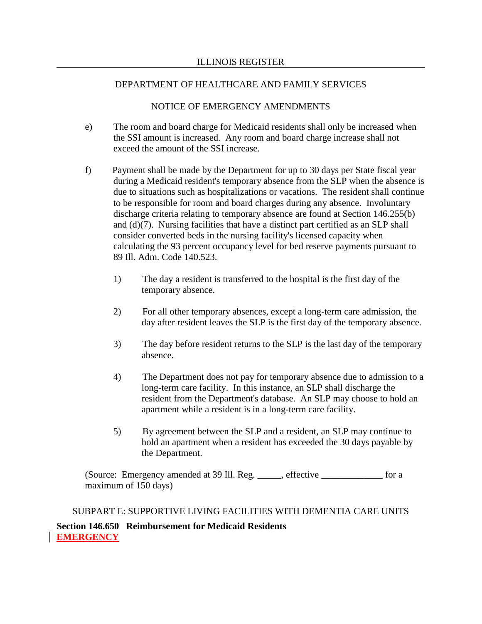### NOTICE OF EMERGENCY AMENDMENTS

- e) The room and board charge for Medicaid residents shall only be increased when the SSI amount is increased. Any room and board charge increase shall not exceed the amount of the SSI increase.
- f) Payment shall be made by the Department for up to 30 days per State fiscal year during a Medicaid resident's temporary absence from the SLP when the absence is due to situations such as hospitalizations or vacations. The resident shall continue to be responsible for room and board charges during any absence. Involuntary discharge criteria relating to temporary absence are found at Section 146.255(b) and (d)(7). Nursing facilities that have a distinct part certified as an SLP shall consider converted beds in the nursing facility's licensed capacity when calculating the 93 percent occupancy level for bed reserve payments pursuant to 89 Ill. Adm. Code 140.523.
	- 1) The day a resident is transferred to the hospital is the first day of the temporary absence.
	- 2) For all other temporary absences, except a long-term care admission, the day after resident leaves the SLP is the first day of the temporary absence.
	- 3) The day before resident returns to the SLP is the last day of the temporary absence.
	- 4) The Department does not pay for temporary absence due to admission to a long-term care facility. In this instance, an SLP shall discharge the resident from the Department's database. An SLP may choose to hold an apartment while a resident is in a long-term care facility.
	- 5) By agreement between the SLP and a resident, an SLP may continue to hold an apartment when a resident has exceeded the 30 days payable by the Department.

(Source: Emergency amended at 39 Ill. Reg. \_\_\_\_\_, effective \_\_\_\_\_\_\_\_\_\_\_\_\_ for a maximum of 150 days)

SUBPART E: SUPPORTIVE LIVING FACILITIES WITH DEMENTIA CARE UNITS **Section 146.650 Reimbursement for Medicaid Residents EMERGENCY**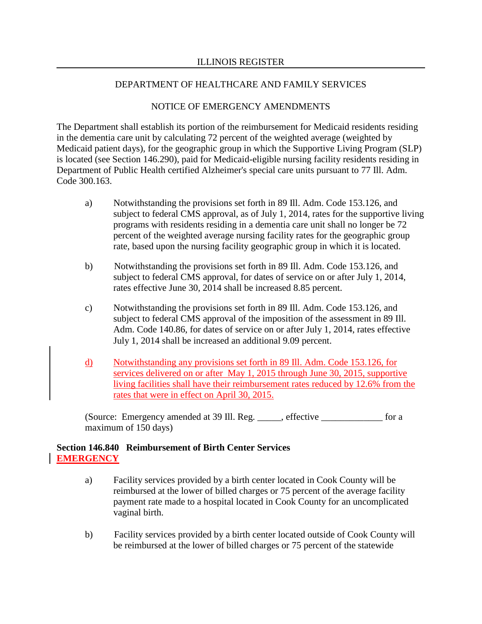### NOTICE OF EMERGENCY AMENDMENTS

The Department shall establish its portion of the reimbursement for Medicaid residents residing in the dementia care unit by calculating 72 percent of the weighted average (weighted by Medicaid patient days), for the geographic group in which the Supportive Living Program (SLP) is located (see Section 146.290), paid for Medicaid-eligible nursing facility residents residing in Department of Public Health certified Alzheimer's special care units pursuant to 77 Ill. Adm. Code 300.163.

- a) Notwithstanding the provisions set forth in 89 Ill. Adm. Code 153.126, and subject to federal CMS approval, as of July 1, 2014, rates for the supportive living programs with residents residing in a dementia care unit shall no longer be 72 percent of the weighted average nursing facility rates for the geographic group rate, based upon the nursing facility geographic group in which it is located.
- b) Notwithstanding the provisions set forth in 89 Ill. Adm. Code 153.126, and subject to federal CMS approval, for dates of service on or after July 1, 2014, rates effective June 30, 2014 shall be increased 8.85 percent.
- c) Notwithstanding the provisions set forth in 89 Ill. Adm. Code 153.126, and subject to federal CMS approval of the imposition of the assessment in 89 Ill. Adm. Code 140.86, for dates of service on or after July 1, 2014, rates effective July 1, 2014 shall be increased an additional 9.09 percent.
- d) Notwithstanding any provisions set forth in 89 Ill. Adm. Code 153.126, for services delivered on or after May 1, 2015 through June 30, 2015, supportive living facilities shall have their reimbursement rates reduced by 12.6% from the rates that were in effect on April 30, 2015.

(Source: Emergency amended at 39 Ill. Reg. \_\_\_\_\_, effective \_\_\_\_\_\_\_\_\_\_\_\_\_ for a maximum of 150 days)

### **Section 146.840 Reimbursement of Birth Center Services EMERGENCY**

- a) Facility services provided by a birth center located in Cook County will be reimbursed at the lower of billed charges or 75 percent of the average facility payment rate made to a hospital located in Cook County for an uncomplicated vaginal birth.
- b) Facility services provided by a birth center located outside of Cook County will be reimbursed at the lower of billed charges or 75 percent of the statewide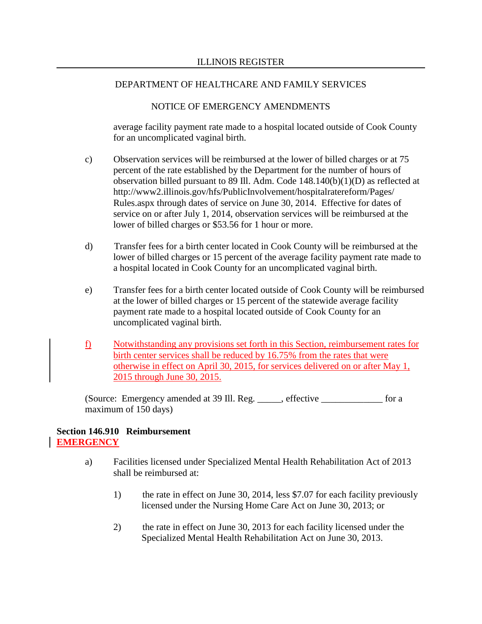## NOTICE OF EMERGENCY AMENDMENTS

average facility payment rate made to a hospital located outside of Cook County for an uncomplicated vaginal birth.

- c) Observation services will be reimbursed at the lower of billed charges or at 75 percent of the rate established by the Department for the number of hours of observation billed pursuant to 89 Ill. Adm. Code 148.140(b)(1)(D) as reflected at http://www2.illinois.gov/hfs/PublicInvolvement/hospitalratereform/Pages/ Rules.aspx through dates of service on June 30, 2014. Effective for dates of service on or after July 1, 2014, observation services will be reimbursed at the lower of billed charges or \$53.56 for 1 hour or more.
- d) Transfer fees for a birth center located in Cook County will be reimbursed at the lower of billed charges or 15 percent of the average facility payment rate made to a hospital located in Cook County for an uncomplicated vaginal birth.
- e) Transfer fees for a birth center located outside of Cook County will be reimbursed at the lower of billed charges or 15 percent of the statewide average facility payment rate made to a hospital located outside of Cook County for an uncomplicated vaginal birth.
- f) Notwithstanding any provisions set forth in this Section, reimbursement rates for birth center services shall be reduced by 16.75% from the rates that were otherwise in effect on April 30, 2015, for services delivered on or after May 1, 2015 through June 30, 2015.

(Source: Emergency amended at 39 Ill. Reg. \_\_\_\_\_, effective \_\_\_\_\_\_\_\_\_\_\_\_\_ for a maximum of 150 days)

## **Section 146.910 Reimbursement EMERGENCY**

- a) Facilities licensed under Specialized Mental Health Rehabilitation Act of 2013 shall be reimbursed at:
	- 1) the rate in effect on June 30, 2014, less \$7.07 for each facility previously licensed under the Nursing Home Care Act on June 30, 2013; or
	- 2) the rate in effect on June 30, 2013 for each facility licensed under the Specialized Mental Health Rehabilitation Act on June 30, 2013.